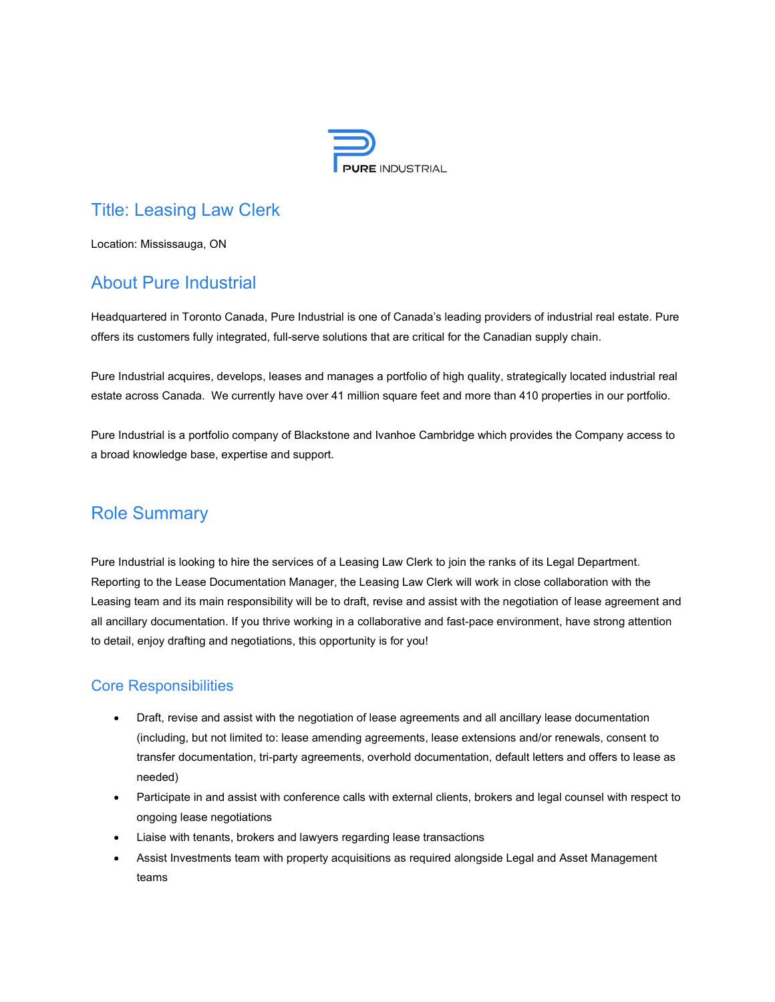

# Title: Leasing Law Clerk

Location: Mississauga, ON

# About Pure Industrial

Headquartered in Toronto Canada, Pure Industrial is one of Canada's leading providers of industrial real estate. Pure offers its customers fully integrated, full-serve solutions that are critical for the Canadian supply chain.

Pure Industrial acquires, develops, leases and manages a portfolio of high quality, strategically located industrial real estate across Canada. We currently have over 41 million square feet and more than 410 properties in our portfolio.

Pure Industrial is a portfolio company of Blackstone and Ivanhoe Cambridge which provides the Company access to a broad knowledge base, expertise and support.

## Role Summary

Pure Industrial is looking to hire the services of a Leasing Law Clerk to join the ranks of its Legal Department. Reporting to the Lease Documentation Manager, the Leasing Law Clerk will work in close collaboration with the Leasing team and its main responsibility will be to draft, revise and assist with the negotiation of lease agreement and all ancillary documentation. If you thrive working in a collaborative and fast-pace environment, have strong attention to detail, enjoy drafting and negotiations, this opportunity is for you!

### Core Responsibilities

- Draft, revise and assist with the negotiation of lease agreements and all ancillary lease documentation (including, but not limited to: lease amending agreements, lease extensions and/or renewals, consent to transfer documentation, tri-party agreements, overhold documentation, default letters and offers to lease as needed)
- Participate in and assist with conference calls with external clients, brokers and legal counsel with respect to ongoing lease negotiations
- Liaise with tenants, brokers and lawyers regarding lease transactions
- Assist Investments team with property acquisitions as required alongside Legal and Asset Management teams